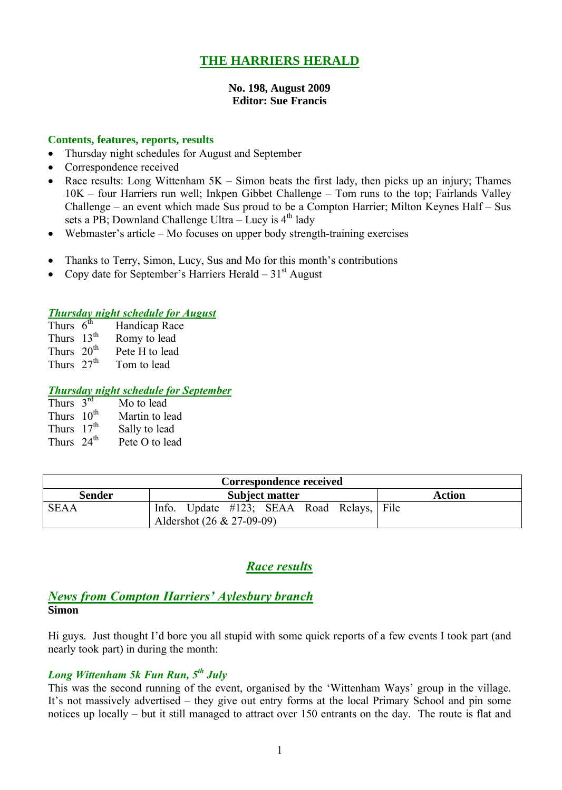# **THE HARRIERS HERALD**

#### **No. 198, August 2009 Editor: Sue Francis**

#### **Contents, features, reports, results**

- Thursday night schedules for August and September
- Correspondence received
- Race results: Long Wittenham  $5K -$  Simon beats the first lady, then picks up an injury; Thames 10K – four Harriers run well; Inkpen Gibbet Challenge – Tom runs to the top; Fairlands Valley Challenge – an event which made Sus proud to be a Compton Harrier; Milton Keynes Half – Sus sets a PB; Downland Challenge Ultra - Lucy is 4<sup>th</sup> lady
- Webmaster's article Mo focuses on upper body strength-training exercises
- Thanks to Terry, Simon, Lucy, Sus and Mo for this month's contributions
- Copy date for September's Harriers Herald  $31<sup>st</sup>$  August

#### *Thursday night schedule for August*

| Thurs $6^{th}$  | Handicap Race  |
|-----------------|----------------|
| Thurs $13^{th}$ | Romy to lead   |
| Thurs $20th$    | Pete H to lead |

Thurs  $27<sup>th</sup>$  Tom to lead

#### *Thursday night schedule for September*

| Thurs $3^{rd}$  | Mo to lead     |
|-----------------|----------------|
| Thurs $10^{th}$ | Martin to lead |
| Thurs $17th$    | Sally to lead  |
| Thurs $24th$    | Pete O to lead |

| Correspondence received |                                                                        |        |  |  |  |  |
|-------------------------|------------------------------------------------------------------------|--------|--|--|--|--|
| <b>Sender</b>           | <b>Subject matter</b>                                                  | Action |  |  |  |  |
| <b>SEAA</b>             | Info. Update #123; SEAA Road Relays, File<br>Aldershot (26 & 27-09-09) |        |  |  |  |  |

# *Race results*

## *News from Compton Harriers' Aylesbury branch* **Simon**

Hi guys. Just thought I'd bore you all stupid with some quick reports of a few events I took part (and nearly took part) in during the month:

## *Long Wittenham 5k Fun Run, 5 th July*

This was the second running of the event, organised by the 'Wittenham Ways' group in the village. It's not massively advertised – they give out entry forms at the local Primary School and pin some notices up locally – but it still managed to attract over 150 entrants on the day. The route is flat and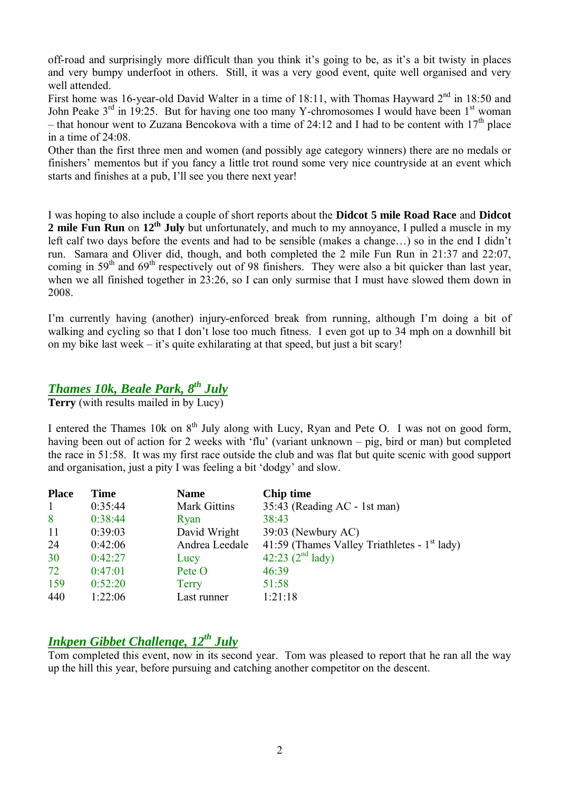off-road and surprisingly more difficult than you think it's going to be, as it's a bit twisty in places and very bumpy underfoot in others. Still, it was a very good event, quite well organised and very well attended.

First home was 16-year-old David Walter in a time of 18:11, with Thomas Hayward  $2<sup>nd</sup>$  in 18:50 and John Peake  $3<sup>rd</sup>$  in 19:25. But for having one too many Y-chromosomes I would have been  $1<sup>st</sup>$  woman – that honour went to Zuzana Bencokova with a time of 24:12 and I had to be content with  $17<sup>th</sup>$  place in a time of 24:08.

Other than the first three men and women (and possibly age category winners) there are no medals or finishers' mementos but if you fancy a little trot round some very nice countryside at an event which starts and finishes at a pub, I'll see you there next year!

I was hoping to also include a couple of short reports about the **Didcot 5 mile Road Race** and **Didcot 2 mile Fun Run** on **12th July** but unfortunately, and much to my annoyance, I pulled a muscle in my left calf two days before the events and had to be sensible (makes a change…) so in the end I didn't run. Samara and Oliver did, though, and both completed the 2 mile Fun Run in 21:37 and 22:07, coming in 59<sup>th</sup> and 69<sup>th</sup> respectively out of 98 finishers. They were also a bit quicker than last year, when we all finished together in 23:26, so I can only surmise that I must have slowed them down in 2008.

I'm currently having (another) injury-enforced break from running, although I'm doing a bit of walking and cycling so that I don't lose too much fitness. I even got up to 34 mph on a downhill bit on my bike last week  $-$  it's quite exhilarating at that speed, but just a bit scary!

# *Thames 10k, Beale Park, 8 th July*

**Terry** (with results mailed in by Lucy)

I entered the Thames 10k on 8<sup>th</sup> July along with Lucy, Ryan and Pete O. I was not on good form, having been out of action for 2 weeks with 'flu' (variant unknown – pig, bird or man) but completed the race in 51:58. It was my first race outside the club and was flat but quite scenic with good support and organisation, just a pity I was feeling a bit 'dodgy' and slow.

| <b>Place</b> | Time    | <b>Name</b>         | Chip time                                      |
|--------------|---------|---------------------|------------------------------------------------|
| $\mathbf{1}$ | 0:35:44 | <b>Mark Gittins</b> | 35:43 (Reading AC - 1st man)                   |
| 8            | 0:38:44 | Ryan                | 38:43                                          |
| 11           | 0:39:03 | David Wright        | 39:03 (Newbury AC)                             |
| 24           | 0:42:06 | Andrea Leedale      | 41:59 (Thames Valley Triathletes - $1st$ lady) |
| 30           | 0:42:27 | Lucy                | 42:23 $(2^{nd}$ lady)                          |
| 72           | 0:47:01 | Pete O              | 46:39                                          |
| 159          | 0:52:20 | Terry               | 51:58                                          |
| 440          | 1:22:06 | Last runner         | 1:21:18                                        |

# *Inkpen Gibbet Challenge, 12th July*

Tom completed this event, now in its second year. Tom was pleased to report that he ran all the way up the hill this year, before pursuing and catching another competitor on the descent.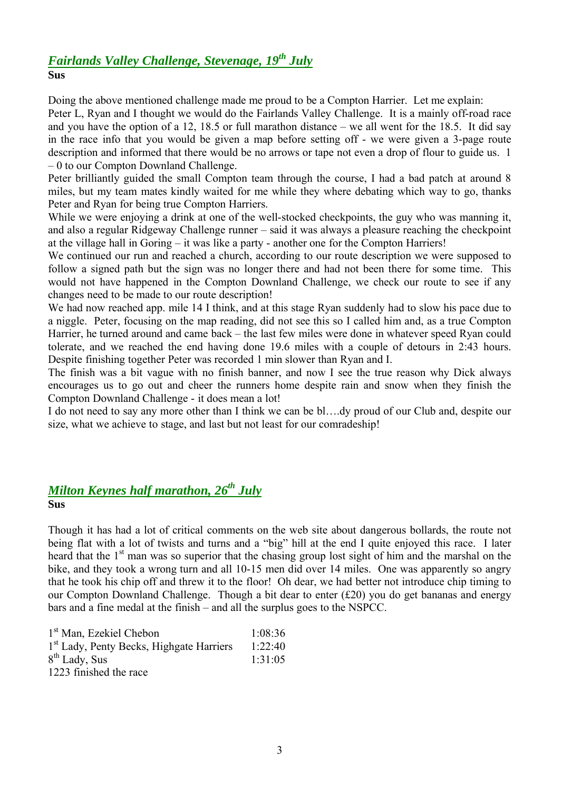#### *Fairlands Valley Challenge, Stevenage, 19th July* **Sus**

Doing the above mentioned challenge made me proud to be a Compton Harrier. Let me explain:

Peter L, Ryan and I thought we would do the Fairlands Valley Challenge. It is a mainly off-road race and you have the option of a 12, 18.5 or full marathon distance – we all went for the 18.5. It did say in the race info that you would be given a map before setting off - we were given a 3-page route description and informed that there would be no arrows or tape not even a drop of flour to guide us. 1 – 0 to our Compton Downland Challenge.

Peter brilliantly guided the small Compton team through the course, I had a bad patch at around 8 miles, but my team mates kindly waited for me while they where debating which way to go, thanks Peter and Ryan for being true Compton Harriers.

While we were enjoying a drink at one of the well-stocked checkpoints, the guy who was manning it, and also a regular Ridgeway Challenge runner – said it was always a pleasure reaching the checkpoint at the village hall in Goring – it was like a party - another one for the Compton Harriers!

We continued our run and reached a church, according to our route description we were supposed to follow a signed path but the sign was no longer there and had not been there for some time. This would not have happened in the Compton Downland Challenge, we check our route to see if any changes need to be made to our route description!

We had now reached app. mile 14 I think, and at this stage Ryan suddenly had to slow his pace due to a niggle. Peter, focusing on the map reading, did not see this so I called him and, as a true Compton Harrier, he turned around and came back – the last few miles were done in whatever speed Ryan could tolerate, and we reached the end having done 19.6 miles with a couple of detours in 2:43 hours. Despite finishing together Peter was recorded 1 min slower than Ryan and I.

The finish was a bit vague with no finish banner, and now I see the true reason why Dick always encourages us to go out and cheer the runners home despite rain and snow when they finish the Compton Downland Challenge - it does mean a lot!

I do not need to say any more other than I think we can be bl….dy proud of our Club and, despite our size, what we achieve to stage, and last but not least for our comradeship!

# *Milton Keynes half marathon, 26 th July*

#### **Sus**

Though it has had a lot of critical comments on the web site about dangerous bollards, the route not being flat with a lot of twists and turns and a "big" hill at the end I quite enjoyed this race. I later heard that the 1<sup>st</sup> man was so superior that the chasing group lost sight of him and the marshal on the bike, and they took a wrong turn and all 10-15 men did over 14 miles. One was apparently so angry that he took his chip off and threw it to the floor! Oh dear, we had better not introduce chip timing to our Compton Downland Challenge. Though a bit dear to enter  $(f20)$  you do get bananas and energy bars and a fine medal at the finish – and all the surplus goes to the NSPCC.

| 1 <sup>st</sup> Man, Ezekiel Chebon                  | 1:08:36 |
|------------------------------------------------------|---------|
| 1 <sup>st</sup> Lady, Penty Becks, Highgate Harriers | 1:22:40 |
| 8 <sup>th</sup> Lady, Sus                            | 1:31:05 |
| 1223 finished the race                               |         |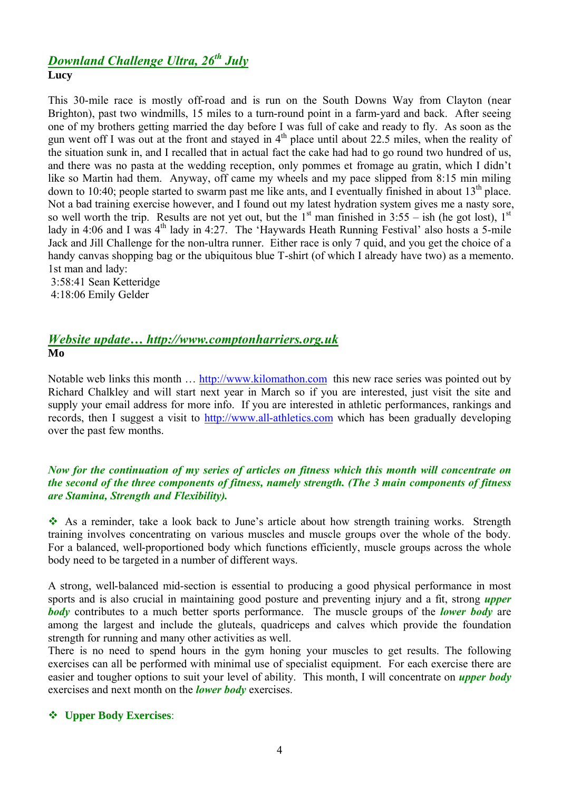# *Downland Challenge Ultra, 26th July* **Lucy**

This 30-mile race is mostly off-road and is run on the South Downs Way from Clayton (near Brighton), past two windmills, 15 miles to a turn-round point in a farm-yard and back. After seeing one of my brothers getting married the day before I was full of cake and ready to fly. As soon as the gun went off I was out at the front and stayed in 4<sup>th</sup> place until about 22.5 miles, when the reality of the situation sunk in, and I recalled that in actual fact the cake had had to go round two hundred of us, and there was no pasta at the wedding reception, only pommes et fromage au gratin, which I didn't like so Martin had them. Anyway, off came my wheels and my pace slipped from 8:15 min miling down to 10:40; people started to swarm past me like ants, and I eventually finished in about  $13<sup>th</sup>$  place. Not a bad training exercise however, and I found out my latest hydration system gives me a nasty sore, so well worth the trip. Results are not yet out, but the  $1<sup>st</sup>$  man finished in 3:55 – ish (he got lost),  $1<sup>st</sup>$ lady in 4:06 and I was 4<sup>th</sup> lady in 4:27. The 'Haywards Heath Running Festival' also hosts a 5-mile Jack and Jill Challenge for the non-ultra runner. Either race is only 7 quid, and you get the choice of a handy canvas shopping bag or the ubiquitous blue T-shirt (of which I already have two) as a memento. 1st man and lady:

3:58:41 Sean Ketteridge 4:18:06 Emily Gelder

# *Website update… http://www.comptonharriers.org.uk* **Mo**

Notable web links this month … http://www.kilomathon.com this new race series was pointed out by Richard Chalkley and will start next year in March so if you are interested, just visit the site and supply your email address for more info. If you are interested in athletic performances, rankings and records, then I suggest a visit to http://www.all-athletics.com which has been gradually developing over the past few months.

#### *Now for the continuation of my series of articles on fitness which this month will concentrate on the second of the three components of fitness, namely strength. (The 3 main components of fitness are Stamina, Strength and Flexibility).*

 As a reminder, take a look back to June's article about how strength training works. Strength training involves concentrating on various muscles and muscle groups over the whole of the body. For a balanced, well-proportioned body which functions efficiently, muscle groups across the whole body need to be targeted in a number of different ways.

A strong, well-balanced mid-section is essential to producing a good physical performance in most sports and is also crucial in maintaining good posture and preventing injury and a fit, strong *upper body* contributes to a much better sports performance. The muscle groups of the *lower body* are among the largest and include the gluteals, quadriceps and calves which provide the foundation strength for running and many other activities as well.

There is no need to spend hours in the gym honing your muscles to get results. The following exercises can all be performed with minimal use of specialist equipment. For each exercise there are easier and tougher options to suit your level of ability. This month, I will concentrate on *upper body* exercises and next month on the *lower body* exercises.

#### **Upper Body Exercises**: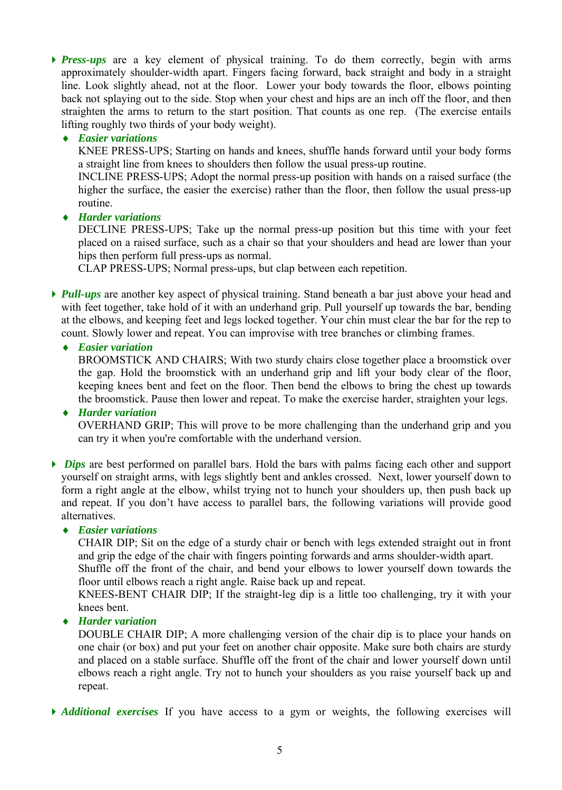*Press-ups* are a key element of physical training. To do them correctly, begin with arms approximately shoulder-width apart. Fingers facing forward, back straight and body in a straight line. Look slightly ahead, not at the floor. Lower your body towards the floor, elbows pointing back not splaying out to the side. Stop when your chest and hips are an inch off the floor, and then straighten the arms to return to the start position. That counts as one rep. (The exercise entails lifting roughly two thirds of your body weight).

#### *Easier variations*

KNEE PRESS-UPS; Starting on hands and knees, shuffle hands forward until your body forms a straight line from knees to shoulders then follow the usual press-up routine.

INCLINE PRESS-UPS; Adopt the normal press-up position with hands on a raised surface (the higher the surface, the easier the exercise) rather than the floor, then follow the usual press-up routine.

*Harder variations*

DECLINE PRESS-UPS; Take up the normal press-up position but this time with your feet placed on a raised surface, such as a chair so that your shoulders and head are lower than your hips then perform full press-ups as normal.

CLAP PRESS-UPS; Normal press-ups, but clap between each repetition.

*Pull-ups* are another key aspect of physical training. Stand beneath a bar just above your head and with feet together, take hold of it with an underhand grip. Pull yourself up towards the bar, bending at the elbows, and keeping feet and legs locked together. Your chin must clear the bar for the rep to count. Slowly lower and repeat. You can improvise with tree branches or climbing frames.

## *Easier variation*

BROOMSTICK AND CHAIRS; With two sturdy chairs close together place a broomstick over the gap. Hold the broomstick with an underhand grip and lift your body clear of the floor, keeping knees bent and feet on the floor. Then bend the elbows to bring the chest up towards the broomstick. Pause then lower and repeat. To make the exercise harder, straighten your legs.

*Harder variation* 

OVERHAND GRIP; This will prove to be more challenging than the underhand grip and you can try it when you're comfortable with the underhand version.

*Dips* are best performed on parallel bars. Hold the bars with palms facing each other and support yourself on straight arms, with legs slightly bent and ankles crossed. Next, lower yourself down to form a right angle at the elbow, whilst trying not to hunch your shoulders up, then push back up and repeat. If you don't have access to parallel bars, the following variations will provide good alternatives.

*Easier variations*

CHAIR DIP; Sit on the edge of a sturdy chair or bench with legs extended straight out in front and grip the edge of the chair with fingers pointing forwards and arms shoulder-width apart.

Shuffle off the front of the chair, and bend your elbows to lower yourself down towards the floor until elbows reach a right angle. Raise back up and repeat.

KNEES-BENT CHAIR DIP; If the straight-leg dip is a little too challenging, try it with your knees bent.

*Harder variation* 

DOUBLE CHAIR DIP; A more challenging version of the chair dip is to place your hands on one chair (or box) and put your feet on another chair opposite. Make sure both chairs are sturdy and placed on a stable surface. Shuffle off the front of the chair and lower yourself down until elbows reach a right angle. Try not to hunch your shoulders as you raise yourself back up and repeat.

*Additional exercises* If you have access to a gym or weights, the following exercises will